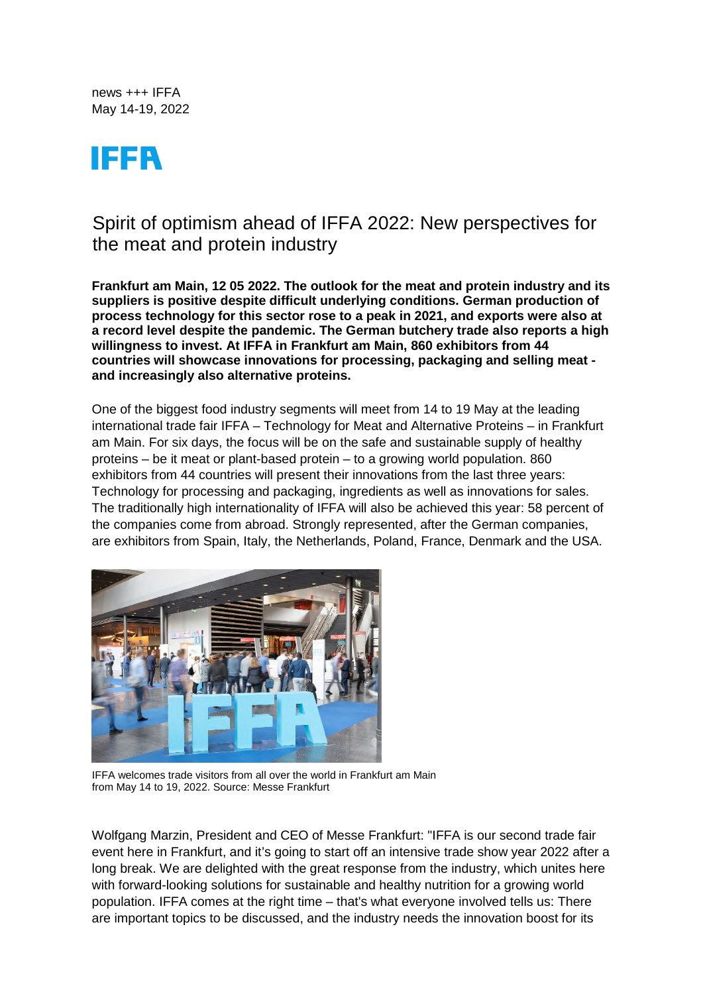news +++ IFFA May 14-19, 2022

# IFFR

## Spirit of optimism ahead of IFFA 2022: New perspectives for the meat and protein industry

**Frankfurt am Main, 12 05 2022. The outlook for the meat and protein industry and its suppliers is positive despite difficult underlying conditions. German production of process technology for this sector rose to a peak in 2021, and exports were also at a record level despite the pandemic. The German butchery trade also reports a high willingness to invest. At IFFA in Frankfurt am Main, 860 exhibitors from 44 countries will showcase innovations for processing, packaging and selling meat and increasingly also alternative proteins.** 

One of the biggest food industry segments will meet from 14 to 19 May at the leading international trade fair IFFA – Technology for Meat and Alternative Proteins – in Frankfurt am Main. For six days, the focus will be on the safe and sustainable supply of healthy proteins – be it meat or plant-based protein – to a growing world population. 860 exhibitors from 44 countries will present their innovations from the last three years: Technology for processing and packaging, ingredients as well as innovations for sales. The traditionally high internationality of IFFA will also be achieved this year: 58 percent of the companies come from abroad. Strongly represented, after the German companies, are exhibitors from Spain, Italy, the Netherlands, Poland, France, Denmark and the USA.



IFFA welcomes trade visitors from all over the world in Frankfurt am Main from May 14 to 19, 2022. Source: Messe Frankfurt

Wolfgang Marzin, President and CEO of Messe Frankfurt: "IFFA is our second trade fair event here in Frankfurt, and it's going to start off an intensive trade show year 2022 after a long break. We are delighted with the great response from the industry, which unites here with forward-looking solutions for sustainable and healthy nutrition for a growing world population. IFFA comes at the right time – that's what everyone involved tells us: There are important topics to be discussed, and the industry needs the innovation boost for its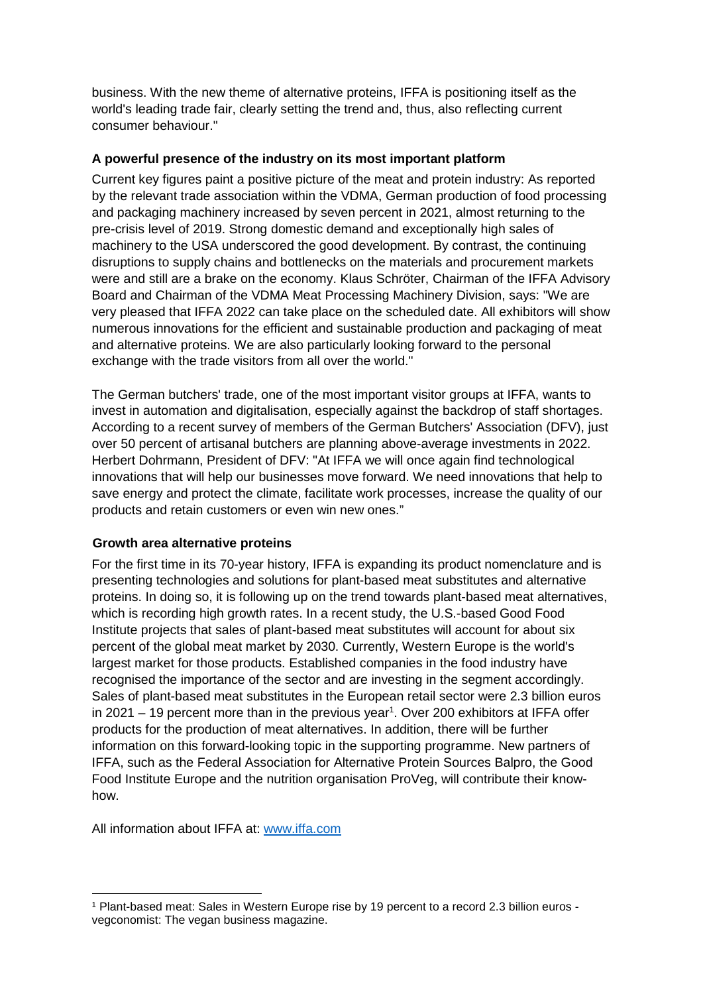business. With the new theme of alternative proteins, IFFA is positioning itself as the world's leading trade fair, clearly setting the trend and, thus, also reflecting current consumer behaviour."

### **A powerful presence of the industry on its most important platform**

Current key figures paint a positive picture of the meat and protein industry: As reported by the relevant trade association within the VDMA, German production of food processing and packaging machinery increased by seven percent in 2021, almost returning to the pre-crisis level of 2019. Strong domestic demand and exceptionally high sales of machinery to the USA underscored the good development. By contrast, the continuing disruptions to supply chains and bottlenecks on the materials and procurement markets were and still are a brake on the economy. Klaus Schröter, Chairman of the IFFA Advisory Board and Chairman of the VDMA Meat Processing Machinery Division, says: "We are very pleased that IFFA 2022 can take place on the scheduled date. All exhibitors will show numerous innovations for the efficient and sustainable production and packaging of meat and alternative proteins. We are also particularly looking forward to the personal exchange with the trade visitors from all over the world."

The German butchers' trade, one of the most important visitor groups at IFFA, wants to invest in automation and digitalisation, especially against the backdrop of staff shortages. According to a recent survey of members of the German Butchers' Association (DFV), just over 50 percent of artisanal butchers are planning above-average investments in 2022. Herbert Dohrmann, President of DFV: "At IFFA we will once again find technological innovations that will help our businesses move forward. We need innovations that help to save energy and protect the climate, facilitate work processes, increase the quality of our products and retain customers or even win new ones."

#### **Growth area alternative proteins**

For the first time in its 70-year history, IFFA is expanding its product nomenclature and is presenting technologies and solutions for plant-based meat substitutes and alternative proteins. In doing so, it is following up on the trend towards plant-based meat alternatives, which is recording high growth rates. In a recent study, the U.S.-based Good Food Institute projects that sales of plant-based meat substitutes will account for about six percent of the global meat market by 2030. Currently, Western Europe is the world's largest market for those products. Established companies in the food industry have recognised the importance of the sector and are investing in the segment accordingly. Sales of plant-based meat substitutes in the European retail sector were 2.3 billion euros in 202[1](#page-1-0)  $-$  19 percent more than in the previous year<sup>1</sup>. Over 200 exhibitors at IFFA offer products for the production of meat alternatives. In addition, there will be further information on this forward-looking topic in the supporting programme. New partners of IFFA, such as the Federal Association for Alternative Protein Sources Balpro, the Good Food Institute Europe and the nutrition organisation ProVeg, will contribute their knowhow.

All information about IFFA at: [www.iffa.com](http://www.iffa.com/)

<span id="page-1-0"></span><sup>1</sup> Plant-based meat: Sales in Western Europe rise by 19 percent to a record 2.3 billion euros vegconomist: The vegan business magazine.